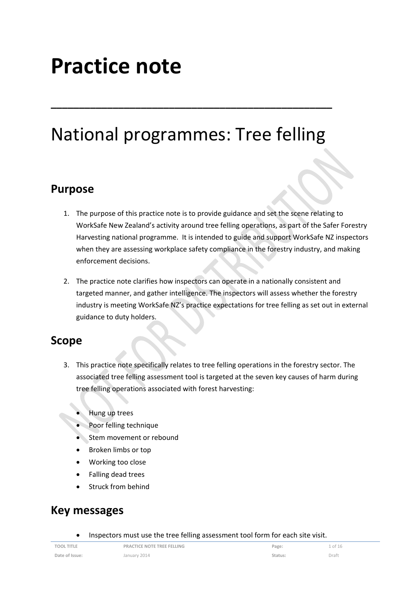# **Practice note**

# National programmes: Tree felling

**\_\_\_\_\_\_\_\_\_\_\_\_\_\_\_\_\_\_\_\_\_\_\_\_\_\_\_\_\_\_\_\_\_\_\_\_\_\_\_\_\_\_\_\_\_\_\_\_\_\_**

### **Purpose**

- 1. The purpose of this practice note is to provide guidance and set the scene relating to WorkSafe New Zealand's activity around tree felling operations, as part of the Safer Forestry Harvesting national programme. It is intended to guide and support WorkSafe NZ inspectors when they are assessing workplace safety compliance in the forestry industry, and making enforcement decisions.
- 2. The practice note clarifies how inspectors can operate in a nationally consistent and targeted manner, and gather intelligence. The inspectors will assess whether the forestry industry is meeting WorkSafe NZ's practice expectations for tree felling as set out in external guidance to duty holders.

### **Scope**

- 3. This practice note specifically relates to tree felling operations in the forestry sector. The associated tree felling assessment tool is targeted at the seven key causes of harm during tree felling operations associated with forest harvesting:
	- Hung up trees
	- Poor felling technique
	- Stem movement or rebound
	- Broken limbs or top
	- Working too close
	- Falling dead trees
	- Struck from behind

## **Key messages**

Inspectors must use the tree felling assessment tool form for each site visit.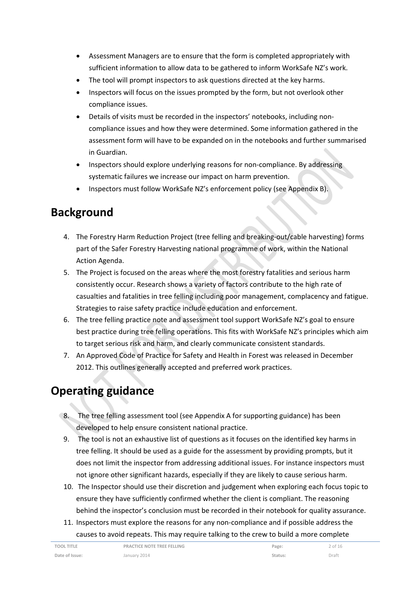- Assessment Managers are to ensure that the form is completed appropriately with sufficient information to allow data to be gathered to inform WorkSafe NZ's work.
- The tool will prompt inspectors to ask questions directed at the key harms.
- Inspectors will focus on the issues prompted by the form, but not overlook other compliance issues.
- Details of visits must be recorded in the inspectors' notebooks, including non‐ compliance issues and how they were determined. Some information gathered in the assessment form will have to be expanded on in the notebooks and further summarised in Guardian.
- Inspectors should explore underlying reasons for non‐compliance. By addressing systematic failures we increase our impact on harm prevention.
- Inspectors must follow WorkSafe NZ's enforcement policy (see Appendix B).

# **Background**

- 4. The Forestry Harm Reduction Project (tree felling and breaking-out/cable harvesting) forms part of the Safer Forestry Harvesting national programme of work, within the National Action Agenda.
- 5. The Project is focused on the areas where the most forestry fatalities and serious harm consistently occur. Research shows a variety of factors contribute to the high rate of casualties and fatalities in tree felling including poor management, complacency and fatigue. Strategies to raise safety practice include education and enforcement.
- 6. The tree felling practice note and assessment tool support WorkSafe NZ's goal to ensure best practice during tree felling operations. This fits with WorkSafe NZ's principles which aim to target serious risk and harm, and clearly communicate consistent standards.
- 7. An Approved Code of Practice for Safety and Health in Forest was released in December 2012. This outlines generally accepted and preferred work practices.

# **Operating guidance**

- 8. The tree felling assessment tool (see Appendix A for supporting guidance) has been developed to help ensure consistent national practice.
- 9. The tool is not an exhaustive list of questions as it focuses on the identified key harms in tree felling. It should be used as a guide for the assessment by providing prompts, but it does not limit the inspector from addressing additional issues. For instance inspectors must not ignore other significant hazards, especially if they are likely to cause serious harm.
- 10. The Inspector should use their discretion and judgement when exploring each focus topic to ensure they have sufficiently confirmed whether the client is compliant. The reasoning behind the inspector's conclusion must be recorded in their notebook for quality assurance.
- 11. Inspectors must explore the reasons for any non‐compliance and if possible address the causes to avoid repeats. This may require talking to the crew to build a more complete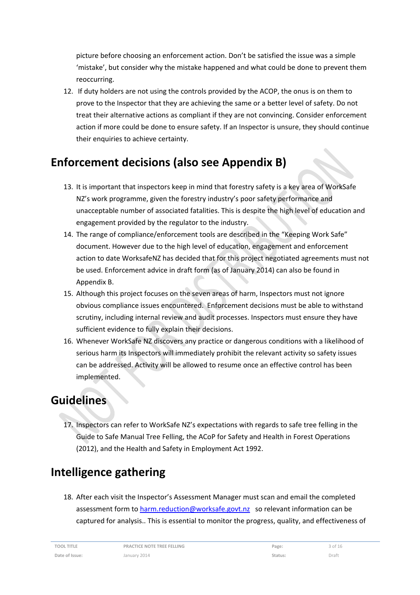picture before choosing an enforcement action. Don't be satisfied the issue was a simple 'mistake', but consider why the mistake happened and what could be done to prevent them reoccurring.

12. If duty holders are not using the controls provided by the ACOP, the onus is on them to prove to the Inspector that they are achieving the same or a better level of safety. Do not treat their alternative actions as compliant if they are not convincing. Consider enforcement action if more could be done to ensure safety. If an Inspector is unsure, they should continue their enquiries to achieve certainty.

# **Enforcement decisions (also see Appendix B)**

- 13. It is important that inspectors keep in mind that forestry safety is a key area of WorkSafe NZ's work programme, given the forestry industry's poor safety performance and unacceptable number of associated fatalities. This is despite the high level of education and engagement provided by the regulator to the industry.
- 14. The range of compliance/enforcement tools are described in the "Keeping Work Safe" document. However due to the high level of education, engagement and enforcement action to date WorksafeNZ has decided that for this project negotiated agreements must not be used. Enforcement advice in draft form (as of January 2014) can also be found in Appendix B.
- 15. Although this project focuses on the seven areas of harm, Inspectors must not ignore obvious compliance issues encountered. Enforcement decisions must be able to withstand scrutiny, including internal review and audit processes. Inspectors must ensure they have sufficient evidence to fully explain their decisions.
- 16. Whenever WorkSafe NZ discovers any practice or dangerous conditions with a likelihood of serious harm its Inspectors will immediately prohibit the relevant activity so safety issues can be addressed. Activity will be allowed to resume once an effective control has been implemented.

# **Guidelines**

17. Inspectors can refer to WorkSafe NZ's expectations with regards to safe tree felling in the Guide to Safe Manual Tree Felling, the ACoP for Safety and Health in Forest Operations (2012), and the Health and Safety in Employment Act 1992.

# **Intelligence gathering**

18. After each visit the Inspector's Assessment Manager must scan and email the completed assessment form to harm.reduction@worksafe.govt.nz so relevant information can be captured for analysis.. This is essential to monitor the progress, quality, and effectiveness of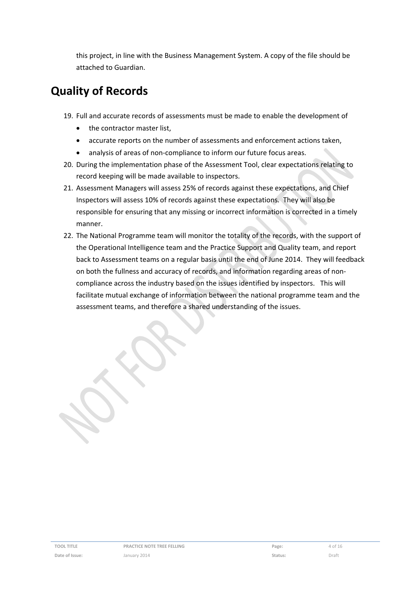this project, in line with the Business Management System. A copy of the file should be attached to Guardian.

# **Quality of Records**

- 19. Full and accurate records of assessments must be made to enable the development of
	- the contractor master list,
	- accurate reports on the number of assessments and enforcement actions taken,
	- analysis of areas of non‐compliance to inform our future focus areas.
- 20. During the implementation phase of the Assessment Tool, clear expectations relating to record keeping will be made available to inspectors.
- 21. Assessment Managers will assess 25% of records against these expectations, and Chief Inspectors will assess 10% of records against these expectations. They will also be responsible for ensuring that any missing or incorrect information is corrected in a timely manner.
- 22. The National Programme team will monitor the totality of the records, with the support of the Operational Intelligence team and the Practice Support and Quality team, and report back to Assessment teams on a regular basis until the end of June 2014. They will feedback on both the fullness and accuracy of records, and information regarding areas of non‐ compliance across the industry based on the issues identified by inspectors. This will facilitate mutual exchange of information between the national programme team and the assessment teams, and therefore a shared understanding of the issues.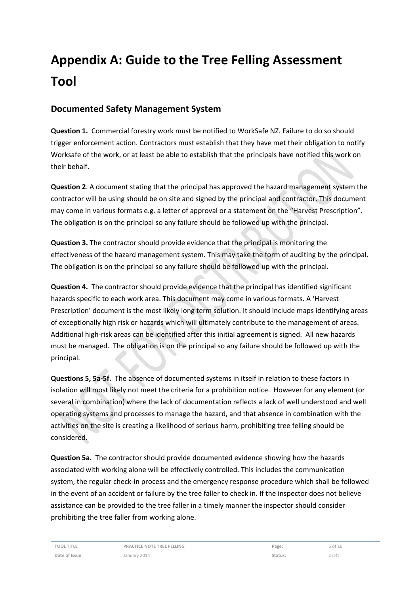# **Appendix A: Guide to the Tree Felling Assessment Tool**

### **Documented Safety Management System**

**Question 1.** Commercial forestry work must be notified to WorkSafe NZ. Failure to do so should trigger enforcement action. Contractors must establish that they have met their obligation to notify Worksafe of the work, or at least be able to establish that the principals have notified this work on their behalf.

**Question 2**. A document stating that the principal has approved the hazard management system the contractor will be using should be on site and signed by the principal and contractor. This document may come in various formats e.g. a letter of approval or a statement on the "Harvest Prescription". The obligation is on the principal so any failure should be followed up with the principal.

**Question 3.** The contractor should provide evidence that the principal is monitoring the effectiveness of the hazard management system. This may take the form of auditing by the principal. The obligation is on the principal so any failure should be followed up with the principal.

**Question 4.** The contractor should provide evidence that the principal has identified significant hazards specific to each work area. This document may come in various formats. A 'Harvest Prescription' document is the most likely long term solution. It should include maps identifying areas of exceptionally high risk or hazards which will ultimately contribute to the management of areas. Additional high‐risk areas can be identified after this initial agreement is signed. All new hazards must be managed. The obligation is on the principal so any failure should be followed up with the principal.

**Questions 5, 5a‐5f.** The absence of documented systems in itself in relation to these factors in isolation will most likely not meet the criteria for a prohibition notice. However for any element (or several in combination) where the lack of documentation reflects a lack of well understood and well operating systems and processes to manage the hazard, and that absence in combination with the activities on the site is creating a likelihood of serious harm, prohibiting tree felling should be considered.

**Question 5a.** The contractor should provide documented evidence showing how the hazards associated with working alone will be effectively controlled. This includes the communication system, the regular check‐in process and the emergency response procedure which shall be followed in the event of an accident or failure by the tree faller to check in. If the inspector does not believe assistance can be provided to the tree faller in a timely manner the inspector should consider prohibiting the tree faller from working alone.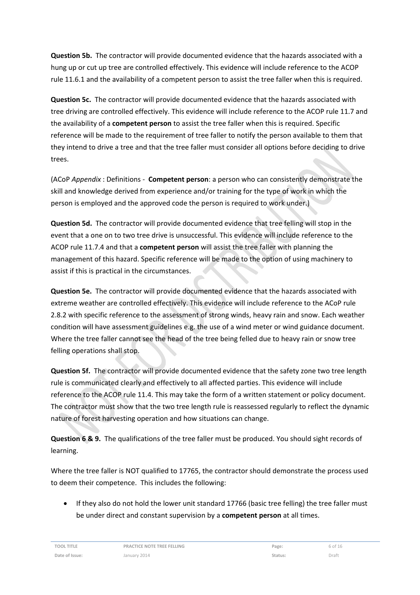**Question 5b.** The contractor will provide documented evidence that the hazards associated with a hung up or cut up tree are controlled effectively. This evidence will include reference to the ACOP rule 11.6.1 and the availability of a competent person to assist the tree faller when this is required.

**Question 5c.** The contractor will provide documented evidence that the hazards associated with tree driving are controlled effectively. This evidence will include reference to the ACOP rule 11.7 and the availability of a **competent person** to assist the tree faller when this is required. Specific reference will be made to the requirement of tree faller to notify the person available to them that they intend to drive a tree and that the tree faller must consider all options before deciding to drive trees.

(ACoP *Appendix* : Definitions ‐ **Competent person**: a person who can consistently demonstrate the skill and knowledge derived from experience and/or training for the type of work in which the person is employed and the approved code the person is required to work under.)

**Question 5d.** The contractor will provide documented evidence that tree felling will stop in the event that a one on to two tree drive is unsuccessful. This evidence will include reference to the ACOP rule 11.7.4 and that a **competent person** will assist the tree faller with planning the management of this hazard. Specific reference will be made to the option of using machinery to assist if this is practical in the circumstances.

**Question 5e.** The contractor will provide documented evidence that the hazards associated with extreme weather are controlled effectively. This evidence will include reference to the ACoP rule 2.8.2 with specific reference to the assessment of strong winds, heavy rain and snow. Each weather condition will have assessment guidelines e.g. the use of a wind meter or wind guidance document. Where the tree faller cannot see the head of the tree being felled due to heavy rain or snow tree felling operations shall stop.

**Question 5f.** The contractor will provide documented evidence that the safety zone two tree length rule is communicated clearly and effectively to all affected parties. This evidence will include reference to the ACOP rule 11.4. This may take the form of a written statement or policy document. The contractor must show that the two tree length rule is reassessed regularly to reflect the dynamic nature of forest harvesting operation and how situations can change.

**Question 6 & 9.** The qualifications of the tree faller must be produced. You should sight records of learning.

Where the tree faller is NOT qualified to 17765, the contractor should demonstrate the process used to deem their competence. This includes the following:

 If they also do not hold the lower unit standard 17766 (basic tree felling) the tree faller must be under direct and constant supervision by a **competent person** at all times.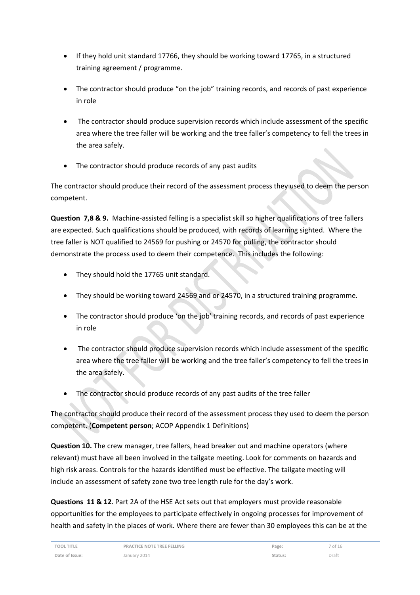- If they hold unit standard 17766, they should be working toward 17765, in a structured training agreement / programme.
- The contractor should produce "on the job" training records, and records of past experience in role
- The contractor should produce supervision records which include assessment of the specific area where the tree faller will be working and the tree faller's competency to fell the trees in the area safely.
- The contractor should produce records of any past audits

The contractor should produce their record of the assessment process they used to deem the person competent.

**Question 7,8 & 9.** Machine‐assisted felling is a specialist skill so higher qualifications of tree fallers are expected. Such qualifications should be produced, with records of learning sighted. Where the tree faller is NOT qualified to 24569 for pushing or 24570 for pulling, the contractor should demonstrate the process used to deem their competence. This includes the following:

- They should hold the 17765 unit standard.
- They should be working toward 24569 and or 24570, in a structured training programme.
- The contractor should produce 'on the job' training records, and records of past experience in role
- The contractor should produce supervision records which include assessment of the specific area where the tree faller will be working and the tree faller's competency to fell the trees in the area safely.
- The contractor should produce records of any past audits of the tree faller

The contractor should produce their record of the assessment process they used to deem the person competent. (**Competent person**; ACOP Appendix 1 Definitions)

**Question 10.** The crew manager, tree fallers, head breaker out and machine operators (where relevant) must have all been involved in the tailgate meeting. Look for comments on hazards and high risk areas. Controls for the hazards identified must be effective. The tailgate meeting will include an assessment of safety zone two tree length rule for the day's work.

**Questions 11 & 12**. Part 2A of the HSE Act sets out that employers must provide reasonable opportunities for the employees to participate effectively in ongoing processes for improvement of health and safety in the places of work. Where there are fewer than 30 employees this can be at the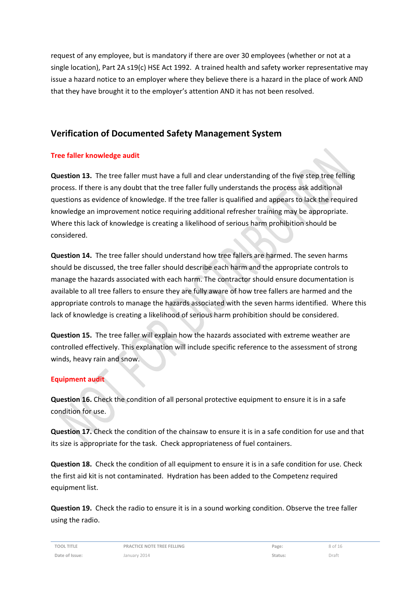request of any employee, but is mandatory if there are over 30 employees (whether or not at a single location), Part 2A s19(c) HSE Act 1992. A trained health and safety worker representative may issue a hazard notice to an employer where they believe there is a hazard in the place of work AND that they have brought it to the employer's attention AND it has not been resolved.

### **Verification of Documented Safety Management System**

#### **Tree faller knowledge audit**

**Question 13.** The tree faller must have a full and clear understanding of the five step tree felling process. If there is any doubt that the tree faller fully understands the process ask additional questions as evidence of knowledge. If the tree faller is qualified and appears to lack the required knowledge an improvement notice requiring additional refresher training may be appropriate. Where this lack of knowledge is creating a likelihood of serious harm prohibition should be considered.

**Question 14.** The tree faller should understand how tree fallers are harmed. The seven harms should be discussed, the tree faller should describe each harm and the appropriate controls to manage the hazards associated with each harm. The contractor should ensure documentation is available to all tree fallers to ensure they are fully aware of how tree fallers are harmed and the appropriate controls to manage the hazards associated with the seven harms identified. Where this lack of knowledge is creating a likelihood of serious harm prohibition should be considered.

**Question 15.** The tree faller will explain how the hazards associated with extreme weather are controlled effectively. This explanation will include specific reference to the assessment of strong winds, heavy rain and snow.

#### **Equipment audit**

**Question 16.** Check the condition of all personal protective equipment to ensure it is in a safe condition for use.

**Question 17.** Check the condition of the chainsaw to ensure it is in a safe condition for use and that its size is appropriate for the task. Check appropriateness of fuel containers.

**Question 18.** Check the condition of all equipment to ensure it is in a safe condition for use. Check the first aid kit is not contaminated. Hydration has been added to the Competenz required equipment list.

**Question 19.** Check the radio to ensure it is in a sound working condition. Observe the tree faller using the radio.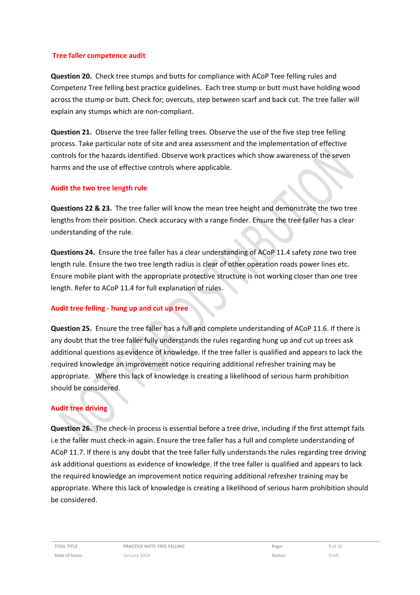#### **Tree faller competence audit**

**Question 20.** Check tree stumps and butts for compliance with ACoP Tree felling rules and Competenz Tree felling best practice guidelines. Each tree stump or butt must have holding wood across the stump or butt. Check for; overcuts, step between scarf and back cut. The tree faller will explain any stumps which are non‐compliant.

**Question 21.** Observe the tree faller felling trees. Observe the use of the five step tree felling process. Take particular note of site and area assessment and the implementation of effective controls for the hazards identified. Observe work practices which show awareness of the seven harms and the use of effective controls where applicable.

#### **Audit the two tree length rule**

**Questions 22 & 23.** The tree faller will know the mean tree height and demonstrate the two tree lengths from their position. Check accuracy with a range finder. Ensure the tree faller has a clear understanding of the rule.

**Questions 24.** Ensure the tree faller has a clear understanding of ACoP 11.4 safety zone two tree length rule. Ensure the two tree length radius is clear of other operation roads power lines etc. Ensure mobile plant with the appropriate protective structure is not working closer than one tree length. Refer to ACoP 11.4 for full explanation of rules.

#### **Audit tree felling ‐ hung up and cut up tree**

**Question 25.** Ensure the tree faller has a full and complete understanding of ACoP 11.6. If there is any doubt that the tree faller fully understands the rules regarding hung up and cut up trees ask additional questions as evidence of knowledge. If the tree faller is qualified and appears to lack the required knowledge an improvement notice requiring additional refresher training may be appropriate. Where this lack of knowledge is creating a likelihood of serious harm prohibition should be considered.

#### **Audit tree driving**

**Question 26.** The check‐in process is essential before a tree drive, including if the first attempt fails i.e the faller must check‐in again. Ensure the tree faller has a full and complete understanding of ACoP 11.7. If there is any doubt that the tree faller fully understands the rules regarding tree driving ask additional questions as evidence of knowledge. If the tree faller is qualified and appears to lack the required knowledge an improvement notice requiring additional refresher training may be appropriate. Where this lack of knowledge is creating a likelihood of serious harm prohibition should be considered.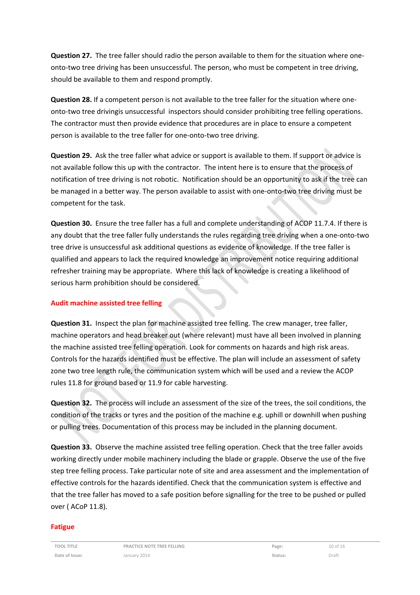**Question 27.** The tree faller should radio the person available to them for the situation where one‐ onto-two tree driving has been unsuccessful. The person, who must be competent in tree driving, should be available to them and respond promptly.

**Question 28.** If a competent person is not available to the tree faller for the situation where one‐ onto-two tree drivingis unsuccessful inspectors should consider prohibiting tree felling operations. The contractor must then provide evidence that procedures are in place to ensure a competent person is available to the tree faller for one‐onto‐two tree driving.

**Question 29.** Ask the tree faller what advice or support is available to them. If support or advice is not available follow this up with the contractor. The intent here is to ensure that the process of notification of tree driving is not robotic. Notification should be an opportunity to ask if the tree can be managed in a better way. The person available to assist with one‐onto‐two tree driving must be competent for the task.

**Question 30.** Ensure the tree faller has a full and complete understanding of ACOP 11.7.4. If there is any doubt that the tree faller fully understands the rules regarding tree driving when a one‐onto‐two tree drive is unsuccessful ask additional questions as evidence of knowledge. If the tree faller is qualified and appears to lack the required knowledge an improvement notice requiring additional refresher training may be appropriate. Where this lack of knowledge is creating a likelihood of serious harm prohibition should be considered.

#### **Audit machine assisted tree felling**

**Question 31.** Inspect the plan for machine assisted tree felling. The crew manager, tree faller, machine operators and head breaker out (where relevant) must have all been involved in planning the machine assisted tree felling operation. Look for comments on hazards and high risk areas. Controls for the hazards identified must be effective. The plan will include an assessment of safety zone two tree length rule, the communication system which will be used and a review the ACOP rules 11.8 for ground based or 11.9 for cable harvesting.

**Question 32.** The process will include an assessment of the size of the trees, the soil conditions, the condition of the tracks or tyres and the position of the machine e.g. uphill or downhill when pushing or pulling trees. Documentation of this process may be included in the planning document.

**Question 33.** Observe the machine assisted tree felling operation. Check that the tree faller avoids working directly under mobile machinery including the blade or grapple. Observe the use of the five step tree felling process. Take particular note of site and area assessment and the implementation of effective controls for the hazards identified. Check that the communication system is effective and that the tree faller has moved to a safe position before signalling for the tree to be pushed or pulled over ( ACoP 11.8).

#### **Fatigue**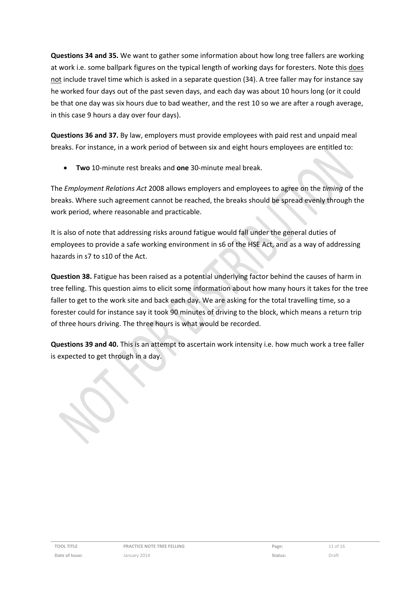**Questions 34 and 35.** We want to gather some information about how long tree fallers are working at work i.e. some ballpark figures on the typical length of working days for foresters. Note this does not include travel time which is asked in a separate question (34). A tree faller may for instance say he worked four days out of the past seven days, and each day was about 10 hours long (or it could be that one day was six hours due to bad weather, and the rest 10 so we are after a rough average, in this case 9 hours a day over four days).

**Questions 36 and 37.** By law, employers must provide employees with paid rest and unpaid meal breaks. For instance, in a work period of between six and eight hours employees are entitled to:

**Two** 10‐minute rest breaks and **one** 30‐minute meal break.

The *Employment Relations Act* 2008 allows employers and employees to agree on the *timing* of the breaks. Where such agreement cannot be reached, the breaks should be spread evenly through the work period, where reasonable and practicable.

It is also of note that addressing risks around fatigue would fall under the general duties of employees to provide a safe working environment in s6 of the HSE Act, and as a way of addressing hazards in s7 to s10 of the Act.

**Question 38.** Fatigue has been raised as a potential underlying factor behind the causes of harm in tree felling. This question aims to elicit some information about how many hours it takes for the tree faller to get to the work site and back each day. We are asking for the total travelling time, so a forester could for instance say it took 90 minutes of driving to the block, which means a return trip of three hours driving. The three hours is what would be recorded.

**Questions 39 and 40.** This is an attempt to ascertain work intensity i.e. how much work a tree faller is expected to get through in a day.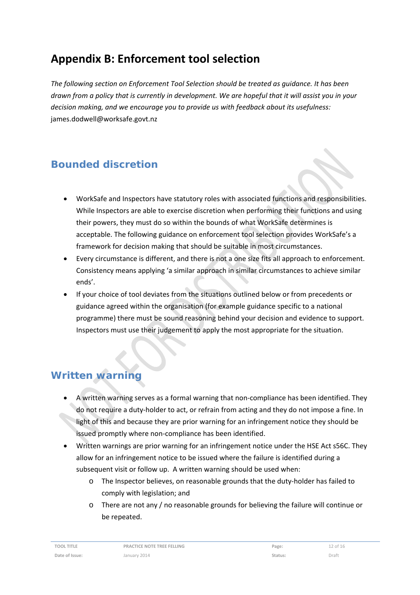# **Appendix B: Enforcement tool selection**

*The following section on Enforcement Tool Selection should be treated as guidance. It has been* drawn from a policy that is currently in development. We are hopeful that it will assist you in your *decision making, and we encourage you to provide us with feedback about its usefulness:* james.dodwell@worksafe.govt.nz

### **Bounded discretion**

- WorkSafe and Inspectors have statutory roles with associated functions and responsibilities. While Inspectors are able to exercise discretion when performing their functions and using their powers, they must do so within the bounds of what WorkSafe determines is acceptable. The following guidance on enforcement tool selection provides WorkSafe's a framework for decision making that should be suitable in most circumstances.
- Every circumstance is different, and there is not a one size fits all approach to enforcement. Consistency means applying 'a similar approach in similar circumstances to achieve similar ends'.
- If your choice of tool deviates from the situations outlined below or from precedents or guidance agreed within the organisation (for example guidance specific to a national programme) there must be sound reasoning behind your decision and evidence to support. Inspectors must use their judgement to apply the most appropriate for the situation.

### **Written warning**

- A written warning serves as a formal warning that non‐compliance has been identified. They do not require a duty‐holder to act, or refrain from acting and they do not impose a fine. In light of this and because they are prior warning for an infringement notice they should be issued promptly where non‐compliance has been identified.
- Written warnings are prior warning for an infringement notice under the HSE Act s56C. They allow for an infringement notice to be issued where the failure is identified during a subsequent visit or follow up. A written warning should be used when:
	- o The Inspector believes, on reasonable grounds that the duty‐holder has failed to comply with legislation; and
	- o There are not any / no reasonable grounds for believing the failure will continue or be repeated.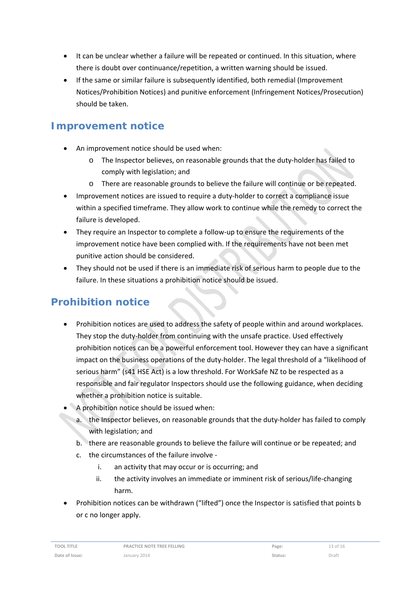- It can be unclear whether a failure will be repeated or continued. In this situation, where there is doubt over continuance/repetition, a written warning should be issued.
- If the same or similar failure is subsequently identified, both remedial (Improvement Notices/Prohibition Notices) and punitive enforcement (Infringement Notices/Prosecution) should be taken.

### **Improvement notice**

- An improvement notice should be used when:
	- o The Inspector believes, on reasonable grounds that the duty‐holder has failed to comply with legislation; and
	- o There are reasonable grounds to believe the failure will continue or be repeated.
- Improvement notices are issued to require a duty‐holder to correct a compliance issue within a specified timeframe. They allow work to continue while the remedy to correct the failure is developed.
- They require an Inspector to complete a follow-up to ensure the requirements of the improvement notice have been complied with. If the requirements have not been met punitive action should be considered.
- They should not be used if there is an immediate risk of serious harm to people due to the failure. In these situations a prohibition notice should be issued.

## **Prohibition notice**

- Prohibition notices are used to address the safety of people within and around workplaces. They stop the duty-holder from continuing with the unsafe practice. Used effectively prohibition notices can be a powerful enforcement tool. However they can have a significant impact on the business operations of the duty-holder. The legal threshold of a "likelihood of serious harm" (s41 HSE Act) is a low threshold. For WorkSafe NZ to be respected as a responsible and fair regulator Inspectors should use the following guidance, when deciding whether a prohibition notice is suitable.
- A prohibition notice should be issued when:
	- a. the Inspector believes, on reasonable grounds that the duty-holder has failed to comply with legislation; and
	- b. there are reasonable grounds to believe the failure will continue or be repeated; and
	- c. the circumstances of the failure involve ‐
		- i. an activity that may occur or is occurring; and
		- ii. the activity involves an immediate or imminent risk of serious/life-changing harm.
- Prohibition notices can be withdrawn ("lifted") once the Inspector is satisfied that points b or c no longer apply.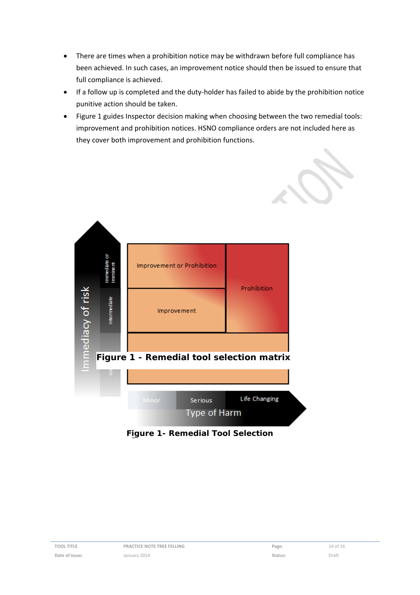- There are times when a prohibition notice may be withdrawn before full compliance has been achieved. In such cases, an improvement notice should then be issued to ensure that full compliance is achieved.
- If a follow up is completed and the duty-holder has failed to abide by the prohibition notice punitive action should be taken.
- Figure 1 guides Inspector decision making when choosing between the two remedial tools: improvement and prohibition notices. HSNO compliance orders are not included here as they cover both improvement and prohibition functions.



**Figure 1- Remedial Tool Selection**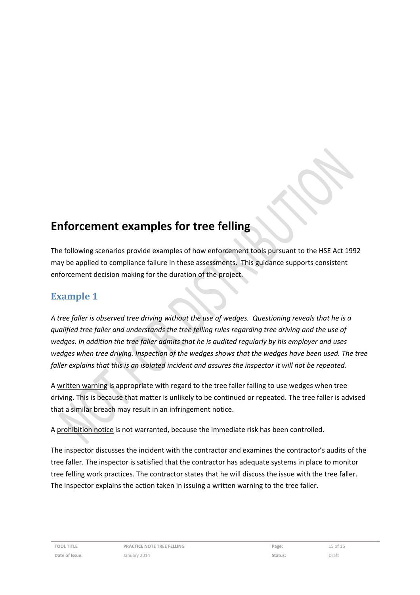# **Enforcement examples for tree felling**

The following scenarios provide examples of how enforcement tools pursuant to the HSE Act 1992 may be applied to compliance failure in these assessments. This guidance supports consistent enforcement decision making for the duration of the project.

### **Example 1**

A tree faller is observed tree driving without the use of wedges. Questioning reveals that he is a *qualified tree faller and understands the tree felling rules regarding tree driving and the use of wedges. In addition the tree faller admits that he is audited regularly by his employer and uses wedges when tree driving. Inspection of the wedges shows that the wedges have been used. The tree* faller explains that this is an isolated incident and assures the inspector it will not be repeated.

A written warning is appropriate with regard to the tree faller failing to use wedges when tree driving. This is because that matter is unlikely to be continued or repeated. The tree faller is advised that a similar breach may result in an infringement notice.

A prohibition notice is not warranted, because the immediate risk has been controlled.

The inspector discusses the incident with the contractor and examines the contractor's audits of the tree faller. The inspector is satisfied that the contractor has adequate systems in place to monitor tree felling work practices. The contractor states that he will discuss the issue with the tree faller. The inspector explains the action taken in issuing a written warning to the tree faller.